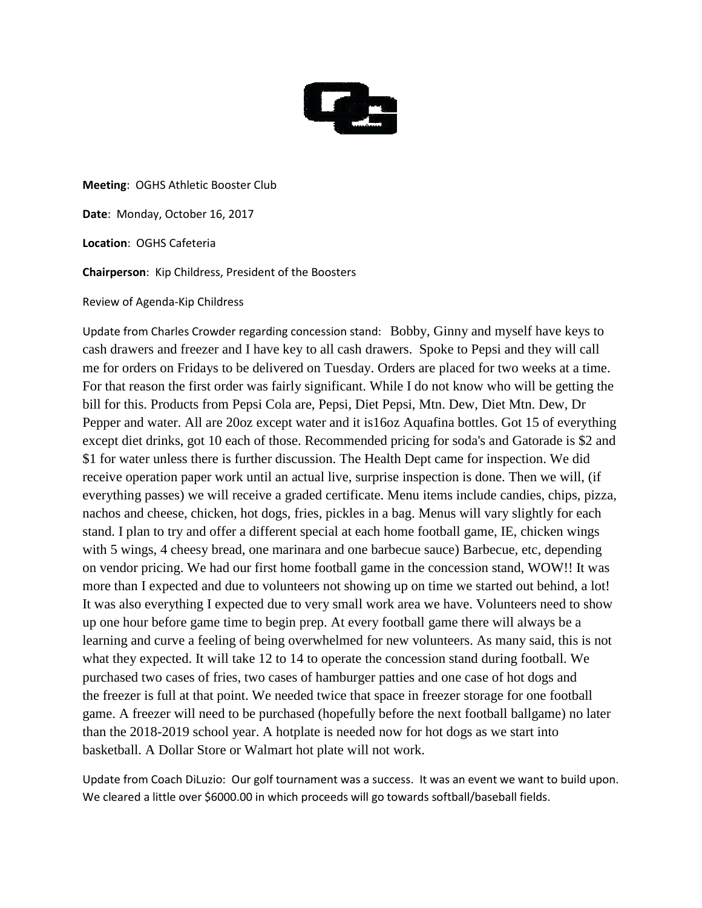

**Meeting**: OGHS Athletic Booster Club

**Date**: Monday, October 16, 2017

**Location**: OGHS Cafeteria

**Chairperson**: Kip Childress, President of the Boosters

Review of Agenda-Kip Childress

Update from Charles Crowder regarding concession stand: Bobby, Ginny and myself have keys to cash drawers and freezer and I have key to all cash drawers. Spoke to Pepsi and they will call me for orders on Fridays to be delivered on Tuesday. Orders are placed for two weeks at a time. For that reason the first order was fairly significant. While I do not know who will be getting the bill for this. Products from Pepsi Cola are, Pepsi, Diet Pepsi, Mtn. Dew, Diet Mtn. Dew, Dr Pepper and water. All are 20oz except water and it is16oz Aquafina bottles. Got 15 of everything except diet drinks, got 10 each of those. Recommended pricing for soda's and Gatorade is \$2 and \$1 for water unless there is further discussion. The Health Dept came for inspection. We did receive operation paper work until an actual live, surprise inspection is done. Then we will, (if everything passes) we will receive a graded certificate. Menu items include candies, chips, pizza, nachos and cheese, chicken, hot dogs, fries, pickles in a bag. Menus will vary slightly for each stand. I plan to try and offer a different special at each home football game, IE, chicken wings with 5 wings, 4 cheesy bread, one marinara and one barbecue sauce) Barbecue, etc, depending on vendor pricing. We had our first home football game in the concession stand, WOW!! It was more than I expected and due to volunteers not showing up on time we started out behind, a lot! It was also everything I expected due to very small work area we have. Volunteers need to show up one hour before game time to begin prep. At every football game there will always be a learning and curve a feeling of being overwhelmed for new volunteers. As many said, this is not what they expected. It will take 12 to 14 to operate the concession stand during football. We purchased two cases of fries, two cases of hamburger patties and one case of hot dogs and the freezer is full at that point. We needed twice that space in freezer storage for one football game. A freezer will need to be purchased (hopefully before the next football ballgame) no later than the 2018-2019 school year. A hotplate is needed now for hot dogs as we start into basketball. A Dollar Store or Walmart hot plate will not work.

Update from Coach DiLuzio: Our golf tournament was a success. It was an event we want to build upon. We cleared a little over \$6000.00 in which proceeds will go towards softball/baseball fields.